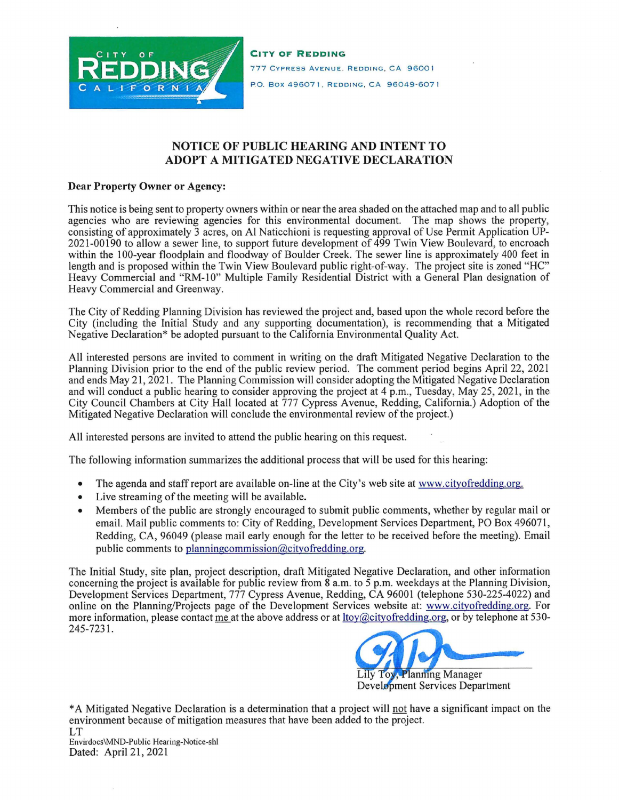

**CITY OF REDDING**  777 CYPRESS AVENUE. REDDING, CA 96001 P.O. Box 496071, REDDING, CA 96049-6071

## **NOTICE OF PUBLIC HEARING AND INTENT TO ADOPT A MITIGATED NEGATIVE DECLARATION**

## **Dear Property Owner or Agency:**

This notice is being sent to property owners within or near the area shaded on the attached map and to all public agencies who are reviewing agencies for this environmental document. The map shows the property, consisting of approximately 3 acres, on Al Naticchioni is requesting approval of Use Permit Application UP-2021-00190 to allow a sewer line, to support future development of 499 Twin View Boulevard, to encroach within the 100-year floodplain and floodway of Boulder Creek. The sewer line is approximately 400 feet in length and is proposed within the Twin View Boulevard public right-of-way. The project site is zoned "HC" Heavy Commercial and "RM-10" Multiple Family Residential District with a General Plan designation of Heavy Commercial and Greenway.

The City of Redding Planning Division has reviewed the project and, based upon the whole record before the City (including the Initial Study and any supporting documentation), is recommending that a Mitigated Negative Declaration\* be adopted pursuant to the California Environmental Quality Act.

**All** interested persons are invited to comment in writing on the draft Mitigated Negative Declaration to the Planning Division prior to the end of the public review period. The comment period begins April 22, 2021 and ends May 21, 2021. The Planning Commission will consider adopting the Mitigated Negative Declaration and will conduct a public hearing to consider approving the project at 4 p.m., Tuesday, May 25, 2021, in the City Council Chambers at City Hall located at 777 Cypress Avenue, Redding, California.) Adoption of the Mitigated Negative Declaration will conclude the environmental review of the project.)

All interested persons are invited to attend the public hearing on this request.

The following information summarizes the additional process that will be used for this hearing:

- The agenda and staff report are available on-line at the City's web site at www.cityofredding.org.
- Live streaming of the meeting will be available.
- Members of the public are strongly encouraged to submit public comments, whether by regular mail or email. Mail public comments to: City of Redding, Development Services Department, PO Box 496071, Redding, CA, 96049 (please mail early enough for the letter to be received before the meeting). Email public comments to planningcommission@cityofredding.org.

The Initial Study, site plan, project description, draft Mitigated Negative Declaration, and other information concerning the project is available for public review from 8 a.m. to 5 p.m. weekdays at the Planning Division, Development Services Department, 777 Cypress Avenue, Redding, CA 96001 (telephone 530-225-4022) and online on the Planning/Projects page of the Development Services website at: www.cityofredding.org. For more information, please contact me at the above address or at ltoy@cityofredding.org, or by telephone at 530- 245-7231 .



\* A Mitigated Negative Declaration is a determination that a project will not have a significant impact on the environment because of mitigation measures that have been added to the project.

LT Envirdocs\MND-Public Hearing-Notice-sh( Dated: April 21, 2021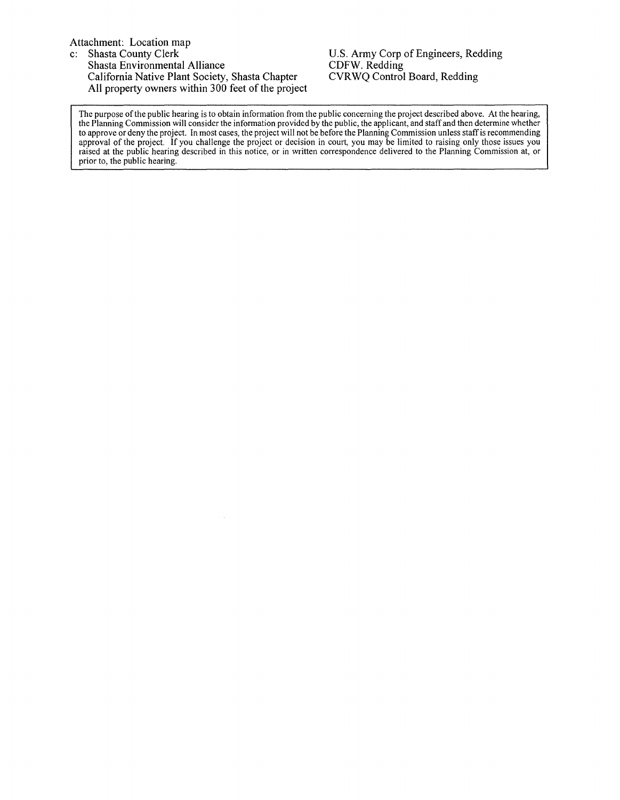## Attachment: Location map<br>c: Shasta County Clerk

Shasta County Clerk Shasta Environmental Alliance California Native Plant Society, Shasta Chapter All property owners within 300 feet of the project U.S. Army Corp of Engineers, Redding CDFW. Redding CVRWQ Control Board, Redding

The purpose of the public hearing is to obtain information from the public concerning the project described above. At the hearing, the Planning Commission will consider the information provided by the public, the applicant, and staff and then determine whether to approve or deny the project. In most cases, the project will not be before the Planning Commission unless staff is recommending approval of the project. If you challenge the project or decision in court, you may be limited to raising only those issues you raised at the public hearing described in this notice, or in written correspondence delivered to the Planning Commission at, or prior to, the public hearing.